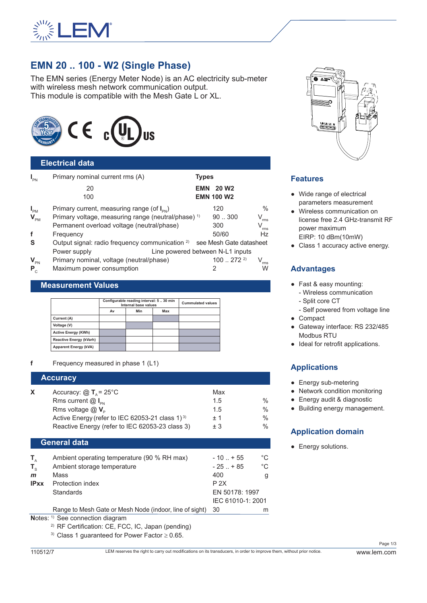

# **EMN 20 .. 100 - W2 (Single Phase)**

The EMN series (Energy Meter Node) is an AC electricity sub-meter with wireless mesh network communication output. This module is compatible with the Mesh Gate L or XL.



#### **Electrical data**

| $I_{\text{PN}}$ | Primary nominal current rms (A)                                                    | <b>Types</b> |                   |                             |
|-----------------|------------------------------------------------------------------------------------|--------------|-------------------|-----------------------------|
|                 | 20                                                                                 |              | <b>EMN 20 W2</b>  |                             |
|                 | 100                                                                                |              | <b>EMN 100 W2</b> |                             |
| $I_{PM}$        | Primary current, measuring range (of $I_{\text{av}}$ )                             |              | 120               | $\%$                        |
| $V_{\text{PM}}$ | Primary voltage, measuring range (neutral/phase) <sup>1)</sup>                     |              | 90.300            | $\mathsf{V}_{\mathsf{rms}}$ |
|                 | Permanent overload voltage (neutral/phase)                                         |              | 300               | $V_{\rm rms}$               |
| f               | Frequency                                                                          |              | 50/60             | <b>Hz</b>                   |
| S               | Output signal: radio frequency communication <sup>2)</sup> see Mesh Gate datasheet |              |                   |                             |
|                 | Line powered between N-L1 inputs<br>Power supply                                   |              |                   |                             |
| $V_{\text{PN}}$ | Primary nominal, voltage (neutral/phase)                                           |              | 1002722           | $\overline{rms}$            |
| $P_{c}$         | Maximum power consumption                                                          |              | 2                 | W                           |

#### **Measurement Values**

|                              | Configurable reading interval: 530 min<br>Internal base values |     |     | <b>Cummulated values</b> |
|------------------------------|----------------------------------------------------------------|-----|-----|--------------------------|
|                              | Av                                                             | Min | Max |                          |
| Current (A)                  |                                                                |     |     |                          |
| Voltage (V)                  |                                                                |     |     |                          |
| <b>Active Energy (KWh)</b>   |                                                                |     |     |                          |
| Reactive Energy (kVarh)      |                                                                |     |     |                          |
| <b>Apparent Energy (kVA)</b> |                                                                |     |     |                          |

**f** Frequency measured in phase 1 (L1)

# **Accuracy X** Accuracy:  $\textcircled{2}$  **T**<sub>A</sub> = 25<sup>°</sup>C Max Rms current  $@$   $I_{\text{PN}}$  1.5 % Rms voltage  $\textcircled{2}$  **V**<sub>P</sub> 1.5 %<br>Active Energy (refer to IEC 62053-21 class 1)<sup>3)</sup>  $\qquad$   $\qquad$  1 Active Energy (refer to IEC 62053-21 class 1)<sup>3)</sup>  $\pm 1$ Reactive Energy (refer to IEC 62053-23 class 3)  $\pm 3$  %

#### **General data**

| $T_{\rm A}$  | Ambient operating temperature (90 % RH max)             | $-10$ $+55$       | $^{\circ}C$ |
|--------------|---------------------------------------------------------|-------------------|-------------|
| $T_{c}$      | Ambient storage temperature                             | $-25$ $+85$       | °C          |
| $\mathbf{m}$ | Mass                                                    | 400               | g           |
| <b>IPxx</b>  | Protection index                                        | P 2X              |             |
|              | <b>Standards</b>                                        | EN 50178: 1997    |             |
|              |                                                         | IEC 61010-1: 2001 |             |
|              | Range to Mesh Gate or Mesh Node (indoor, line of sight) | -30               | m           |

**Notes: 1) See connection diagram** 

2) RF Certification: CE, FCC, IC, Japan (pending)

<sup>3)</sup> Class 1 guaranteed for Power Factor  $\geq$  0.65.



### **Features**

- Wide range of electrical parameters measurement
- Wireless communication on license free 2.4 GHz-transmit RF power maximum EIRP: 10 dBm(10mW)
- Class 1 accuracy active energy.

### **Advantages**

- Fast & easy mounting:
	- Wireless communication
- Split core CT
- Self powered from voltage line
- Compact
- Gateway interface: RS 232/485 Modbus RTU
- Ideal for retrofit applications.

# **Applications**

- Energy sub-metering
- Network condition monitoring
- Energy audit & diagnostic
- Building energy management.

# **Application domain**

• Energy solutions.

Page 1/3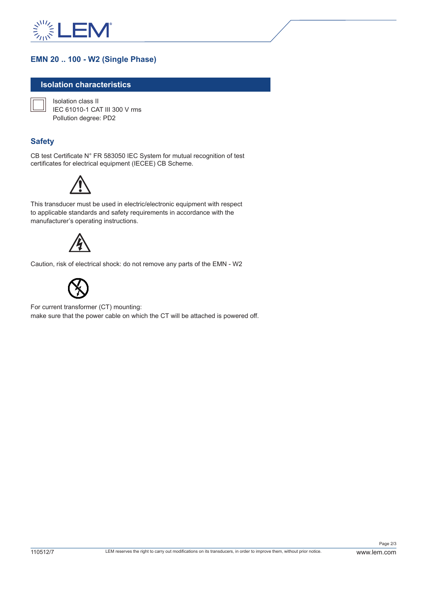

### **EMN 20 .. 100 - W2 (Single Phase)**

#### **Isolation characteristics**

Isolation class II IEC 61010-1 CAT III 300 V rms Pollution degree: PD2

### **Safety**

CB test Certificate N° FR 583050 IEC System for mutual recognition of test certificates for electrical equipment (IECEE) CB Scheme.



This transducer must be used in electric/electronic equipment with respect to applicable standards and safety requirements in accordance with the manufacturer's operating instructions.



Caution, risk of electrical shock: do not remove any parts of the EMN - W2



For current transformer (CT) mounting: make sure that the power cable on which the CT will be attached is powered off.